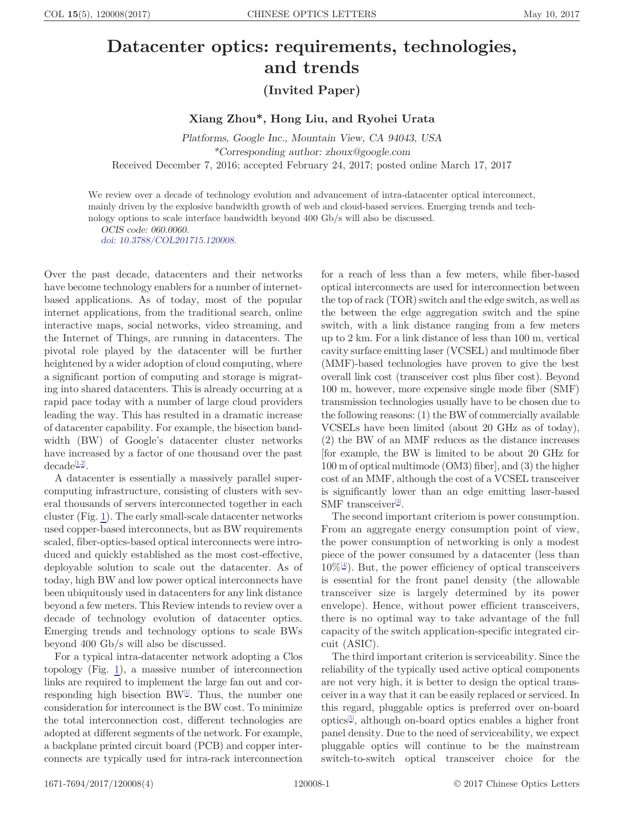## Datacenter optics: requirements, technologies, and trends

(Invited Paper)

Xiang Zhou\*, Hong Liu, and Ryohei Urata

Platforms, Google Inc., Mountain View, CA 94043, USA \*Corresponding author: zhoux@google.com

Received December 7, 2016; accepted February 24, 2017; posted online March 17, 2017

We review over a decade of technology evolution and advancement of intra-datacenter optical interconnect, mainly driven by the explosive bandwidth growth of web and cloud-based services. Emerging trends and technology options to scale interface bandwidth beyond 400 Gb/s will also be discussed.

OCIS code: 060.0060. [doi: 10.3788/COL201715.120008.](http://dx.doi.org/10.3788/COL201715.120008)

Over the past decade, datacenters and their networks have become technology enablers for a number of internetbased applications. As of today, most of the popular internet applications, from the traditional search, online interactive maps, social networks, video streaming, and the Internet of Things, are running in datacenters. The pivotal role played by the datacenter will be further heightened by a wider adoption of cloud computing, where a significant portion of computing and storage is migrating into shared datacenters. This is already occurring at a rapid pace today with a number of large cloud providers leading the way. This has resulted in a dramatic increase of datacenter capability. For example, the bisection bandwidth (BW) of Google's datacenter cluster networks have increased by a factor of one thousand over the past  $\text{decade}^{[1,2]}$  $\text{decade}^{[1,2]}$  $\text{decade}^{[1,2]}$ .

A datacenter is essentially a massively parallel supercomputing infrastructure, consisting of clusters with several thousands of servers interconnected together in each cluster (Fig. [1\)](#page-1-0). The early small-scale datacenter networks used copper-based interconnects, but as BW requirements scaled, fiber-optics-based optical interconnects were introduced and quickly established as the most cost-effective, deployable solution to scale out the datacenter. As of today, high BW and low power optical interconnects have been ubiquitously used in datacenters for any link distance beyond a few meters. This Review intends to review over a decade of technology evolution of datacenter optics. Emerging trends and technology options to scale BWs beyond 400 Gb/s will also be discussed.

For a typical intra-datacenter network adopting a Clos topology (Fig. [1\)](#page-1-0), a massive number of interconnection links are required to implement the large fan out and corresponding high bisection  $BW^{[1]}$  $BW^{[1]}$  $BW^{[1]}$ . Thus, the number one consideration for interconnect is the BW cost. To minimize the total interconnection cost, different technologies are adopted at different segments of the network. For example, a backplane printed circuit board (PCB) and copper interconnects are typically used for intra-rack interconnection

for a reach of less than a few meters, while fiber-based optical interconnects are used for interconnection between the top of rack (TOR) switch and the edge switch, as well as the between the edge aggregation switch and the spine switch, with a link distance ranging from a few meters up to 2 km. For a link distance of less than 100 m, vertical cavity surface emitting laser (VCSEL) and multimode fiber (MMF)-based technologies have proven to give the best overall link cost (transceiver cost plus fiber cost). Beyond 100 m, however, more expensive single mode fiber (SMF) transmission technologies usually have to be chosen due to the following reasons: (1) the BW of commercially available VCSELs have been limited (about 20 GHz as of today), (2) the BW of an MMF reduces as the distance increases [for example, the BW is limited to be about 20 GHz for 100 m of optical multimode (OM3) fiber], and (3) the higher cost of an MMF, although the cost of a VCSEL transceiver is significantly lower than an edge emitting laser-based SMF transceiver<sup>[[3\]](#page-3-0)</sup>.

The second important criteriom is power consumption. From an aggregate energy consumption point of view, the power consumption of networking is only a modest piece of the power consumed by a datacenter (less than  $10\%$ <sup>[\[4](#page-3-0)]</sup>). But, the power efficiency of optical transceivers is essential for the front panel density (the allowable transceiver size is largely determined by its power envelope). Hence, without power efficient transceivers, there is no optimal way to take advantage of the full capacity of the switch application-specific integrated circuit (ASIC).

The third important criterion is serviceability. Since the reliability of the typically used active optical components are not very high, it is better to design the optical transceiver in a way that it can be easily replaced or serviced. In this regard, pluggable optics is preferred over on-board optics[[5\]](#page-3-0) , although on-board optics enables a higher front panel density. Due to the need of serviceability, we expect pluggable optics will continue to be the mainstream switch-to-switch optical transceiver choice for the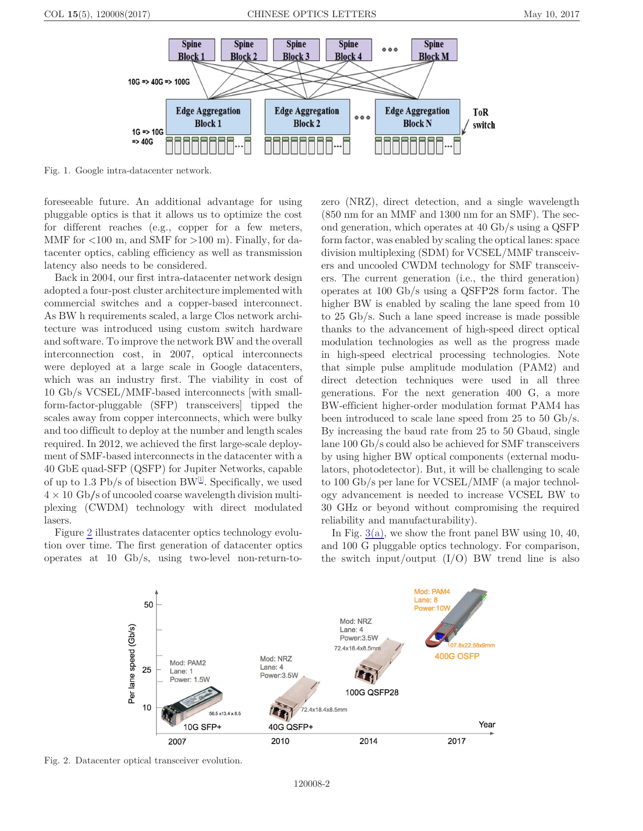<span id="page-1-0"></span>

Fig. 1. Google intra-datacenter network.

foreseeable future. An additional advantage for using pluggable optics is that it allows us to optimize the cost for different reaches (e.g., copper for a few meters, MMF for  $<100$  m, and SMF for  $>100$  m). Finally, for datacenter optics, cabling efficiency as well as transmission latency also needs to be considered.

Back in 2004, our first intra-datacenter network design adopted a four-post cluster architecture implemented with commercial switches and a copper-based interconnect. As BW h requirements scaled, a large Clos network architecture was introduced using custom switch hardware and software. To improve the network BW and the overall interconnection cost, in 2007, optical interconnects were deployed at a large scale in Google datacenters, which was an industry first. The viability in cost of 10 Gb/s VCSEL/MMF-based interconnects [with smallform-factor-pluggable (SFP) transceivers] tipped the scales away from copper interconnects, which were bulky and too difficult to deploy at the number and length scales required. In 2012, we achieved the first large-scale deployment of SMF-based interconnects in the datacenter with a 40 GbE quad-SFP (QSFP) for Jupiter Networks, capable of up to 1.3 Pb/s of bisection BW<sup>[[1\]](#page-3-0)</sup>. Specifically, we used 4 × 10 Gb∕s of uncooled coarse wavelength division multiplexing (CWDM) technology with direct modulated lasers.

Figure 2 illustrates datacenter optics technology evolution over time. The first generation of datacenter optics operates at 10 Gb/s, using two-level non-return-tozero (NRZ), direct detection, and a single wavelength (850 nm for an MMF and 1300 nm for an SMF). The second generation, which operates at 40 Gb/s using a QSFP form factor, was enabled by scaling the optical lanes: space division multiplexing (SDM) for VCSEL/MMF transceivers and uncooled CWDM technology for SMF transceivers. The current generation (i.e., the third generation) operates at 100 Gb/s using a QSFP28 form factor. The higher BW is enabled by scaling the lane speed from 10 to 25 Gb/s. Such a lane speed increase is made possible thanks to the advancement of high-speed direct optical modulation technologies as well as the progress made in high-speed electrical processing technologies. Note that simple pulse amplitude modulation (PAM2) and direct detection techniques were used in all three generations. For the next generation 400 G, a more BW-efficient higher-order modulation format PAM4 has been introduced to scale lane speed from 25 to 50 Gb/s. By increasing the baud rate from 25 to 50 Gbaud, single lane 100 Gb/s could also be achieved for SMF transceivers by using higher BW optical components (external modulators, photodetector). But, it will be challenging to scale to 100 Gb/s per lane for VCSEL/MMF (a major technology advancement is needed to increase VCSEL BW to 30 GHz or beyond without compromising the required reliability and manufacturability).

In Fig.  $3(a)$ , we show the front panel BW using 10, 40, and 100 G pluggable optics technology. For comparison, the switch input/output  $(I/O)$  BW trend line is also



Fig. 2. Datacenter optical transceiver evolution.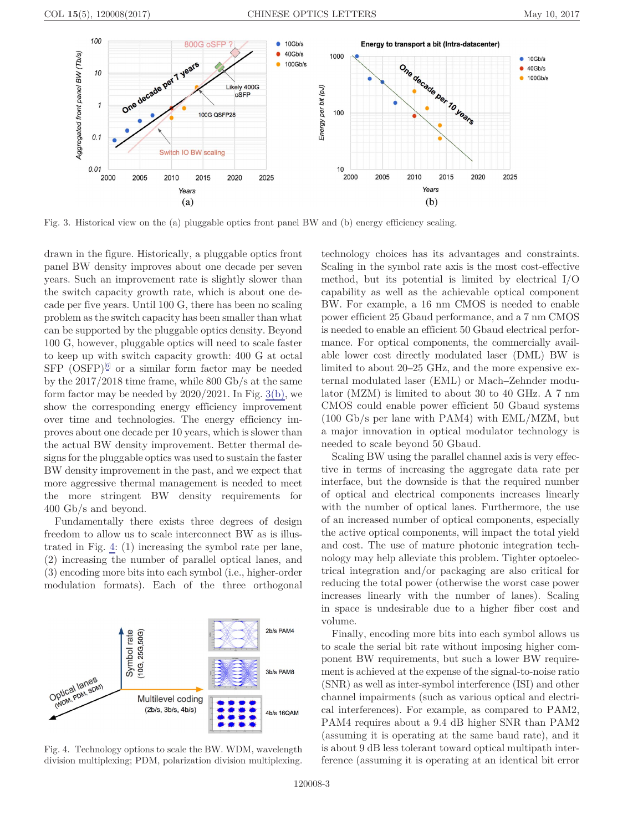<span id="page-2-0"></span>

Fig. 3. Historical view on the (a) pluggable optics front panel BW and (b) energy efficiency scaling.

drawn in the figure. Historically, a pluggable optics front panel BW density improves about one decade per seven years. Such an improvement rate is slightly slower than the switch capacity growth rate, which is about one decade per five years. Until 100 G, there has been no scaling problem as the switch capacity has been smaller than what can be supported by the pluggable optics density. Beyond 100 G, however, pluggable optics will need to scale faster to keep up with switch capacity growth: 400 G at octal  $SFP$  (OSFP)<sup>[\[6\]](#page-3-0)</sup> or a similar form factor may be needed by the 2017/2018 time frame, while 800 Gb/s at the same form factor may be needed by 2020/2021. In Fig. 3(b), we show the corresponding energy efficiency improvement over time and technologies. The energy efficiency improves about one decade per 10 years, which is slower than the actual BW density improvement. Better thermal designs for the pluggable optics was used to sustain the faster BW density improvement in the past, and we expect that more aggressive thermal management is needed to meet the more stringent BW density requirements for 400 Gb/s and beyond.

Fundamentally there exists three degrees of design freedom to allow us to scale interconnect BW as is illustrated in Fig. 4: (1) increasing the symbol rate per lane, (2) increasing the number of parallel optical lanes, and (3) encoding more bits into each symbol (i.e., higher-order modulation formats). Each of the three orthogonal



Fig. 4. Technology options to scale the BW. WDM, wavelength division multiplexing; PDM, polarization division multiplexing.

ternal modulated laser (EML) or Mach–Zehnder modulator (MZM) is limited to about 30 to 40 GHz. A 7 nm CMOS could enable power efficient 50 Gbaud systems (100 Gb/s per lane with PAM4) with EML/MZM, but a major innovation in optical modulator technology is needed to scale beyond 50 Gbaud. Scaling BW using the parallel channel axis is very effective in terms of increasing the aggregate data rate per interface, but the downside is that the required number of optical and electrical components increases linearly with the number of optical lanes. Furthermore, the use of an increased number of optical components, especially the active optical components, will impact the total yield and cost. The use of mature photonic integration technology may help alleviate this problem. Tighter optoelectrical integration and/or packaging are also critical for

technology choices has its advantages and constraints. Scaling in the symbol rate axis is the most cost-effective method, but its potential is limited by electrical I/O capability as well as the achievable optical component BW. For example, a 16 nm CMOS is needed to enable power efficient 25 Gbaud performance, and a 7 nm CMOS is needed to enable an efficient 50 Gbaud electrical performance. For optical components, the commercially available lower cost directly modulated laser (DML) BW is limited to about 20–25 GHz, and the more expensive ex-

reducing the total power (otherwise the worst case power increases linearly with the number of lanes). Scaling in space is undesirable due to a higher fiber cost and volume.

Finally, encoding more bits into each symbol allows us to scale the serial bit rate without imposing higher component BW requirements, but such a lower BW requirement is achieved at the expense of the signal-to-noise ratio (SNR) as well as inter-symbol interference (ISI) and other channel impairments (such as various optical and electrical interferences). For example, as compared to PAM2, PAM4 requires about a 9.4 dB higher SNR than PAM2 (assuming it is operating at the same baud rate), and it is about 9 dB less tolerant toward optical multipath interference (assuming it is operating at an identical bit error